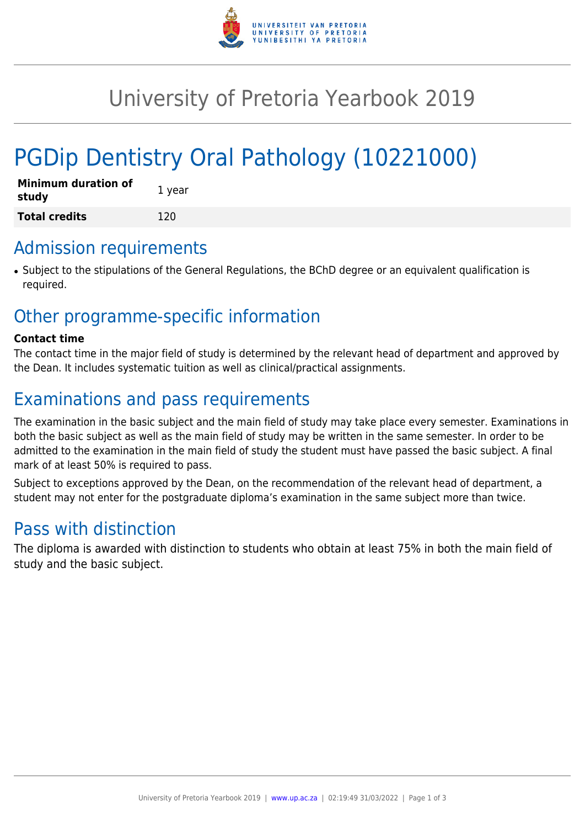

# University of Pretoria Yearbook 2019

# PGDip Dentistry Oral Pathology (10221000)

| <b>Minimum duration of</b><br>study | 1 year |
|-------------------------------------|--------|
| <b>Total credits</b>                | 120    |

### Admission requirements

● Subject to the stipulations of the General Regulations, the BChD degree or an equivalent qualification is required.

## Other programme-specific information

#### **Contact time**

The contact time in the major field of study is determined by the relevant head of department and approved by the Dean. It includes systematic tuition as well as clinical/practical assignments.

# Examinations and pass requirements

The examination in the basic subject and the main field of study may take place every semester. Examinations in both the basic subject as well as the main field of study may be written in the same semester. In order to be admitted to the examination in the main field of study the student must have passed the basic subject. A final mark of at least 50% is required to pass.

Subject to exceptions approved by the Dean, on the recommendation of the relevant head of department, a student may not enter for the postgraduate diploma's examination in the same subject more than twice.

## Pass with distinction

The diploma is awarded with distinction to students who obtain at least 75% in both the main field of study and the basic subject.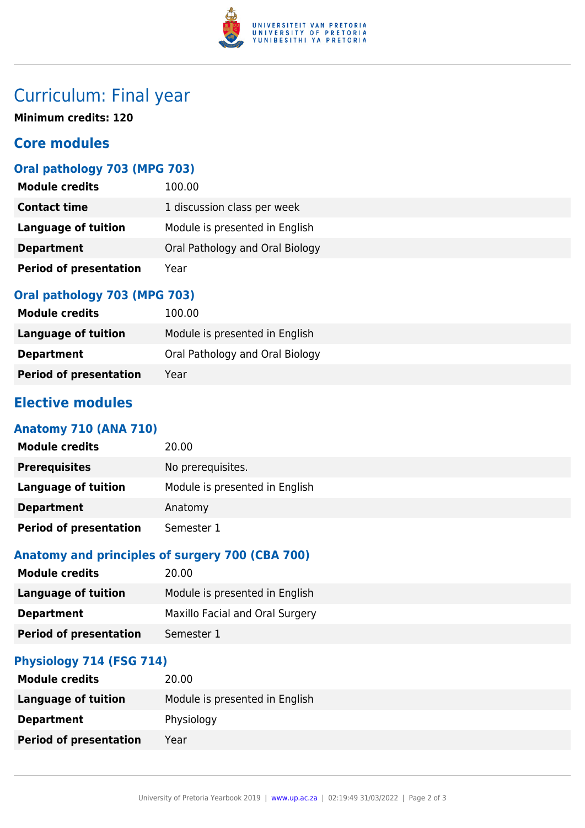

# Curriculum: Final year

**Minimum credits: 120**

### **Core modules**

### **Oral pathology 703 (MPG 703)**

| <b>Module credits</b>         | 100.00                          |
|-------------------------------|---------------------------------|
| <b>Contact time</b>           | 1 discussion class per week     |
| Language of tuition           | Module is presented in English  |
| <b>Department</b>             | Oral Pathology and Oral Biology |
| <b>Period of presentation</b> | Year                            |

#### **Oral pathology 703 (MPG 703)**

| <b>Module credits</b>         | 100.00                          |
|-------------------------------|---------------------------------|
| Language of tuition           | Module is presented in English  |
| <b>Department</b>             | Oral Pathology and Oral Biology |
| <b>Period of presentation</b> | Year                            |

### **Elective modules**

#### **Anatomy 710 (ANA 710)**

| <b>Module credits</b>         | 20.00                          |
|-------------------------------|--------------------------------|
| <b>Prerequisites</b>          | No prerequisites.              |
| Language of tuition           | Module is presented in English |
| <b>Department</b>             | Anatomy                        |
| <b>Period of presentation</b> | Semester 1                     |

#### **Anatomy and principles of surgery 700 (CBA 700)**

| <b>Module credits</b>         | 20.00                           |
|-------------------------------|---------------------------------|
| Language of tuition           | Module is presented in English  |
| <b>Department</b>             | Maxillo Facial and Oral Surgery |
| <b>Period of presentation</b> | Semester 1                      |

#### **Physiology 714 (FSG 714)**

| <b>Module credits</b>         | 20.00                          |
|-------------------------------|--------------------------------|
| <b>Language of tuition</b>    | Module is presented in English |
| <b>Department</b>             | Physiology                     |
| <b>Period of presentation</b> | Year                           |
|                               |                                |